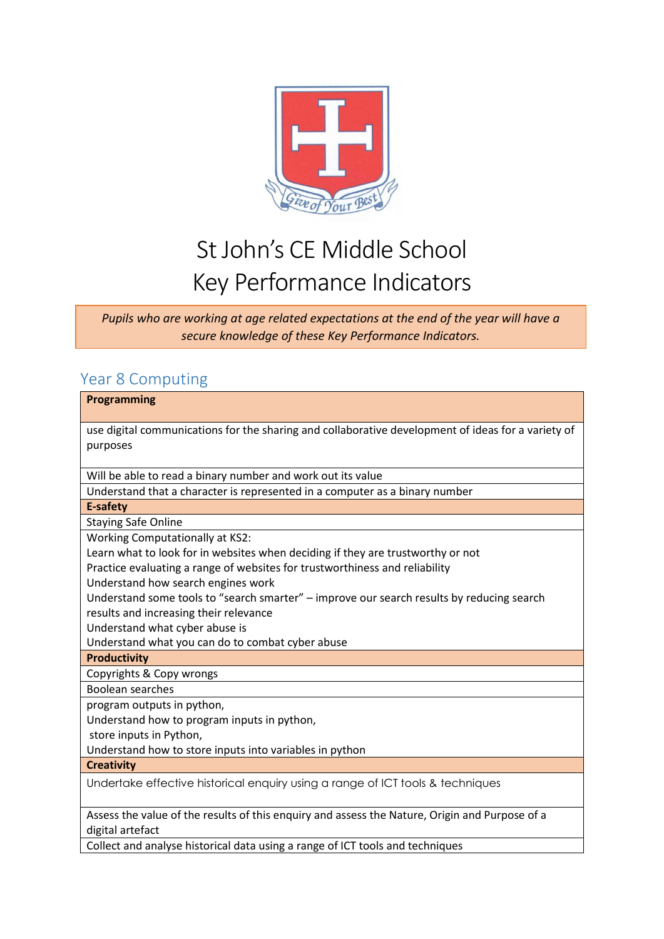

## St John's CE Middle School Key Performance Indicators

*Pupils who are working at age related expectations at the end of the year will have a secure knowledge of these Key Performance Indicators.*

## Year 8 Computing

| Programming                                                                                                        |
|--------------------------------------------------------------------------------------------------------------------|
|                                                                                                                    |
| use digital communications for the sharing and collaborative development of ideas for a variety of                 |
| purposes                                                                                                           |
| Will be able to read a binary number and work out its value                                                        |
| Understand that a character is represented in a computer as a binary number                                        |
| <b>E-safety</b>                                                                                                    |
| <b>Staying Safe Online</b>                                                                                         |
| <b>Working Computationally at KS2:</b>                                                                             |
| Learn what to look for in websites when deciding if they are trustworthy or not                                    |
| Practice evaluating a range of websites for trustworthiness and reliability                                        |
| Understand how search engines work                                                                                 |
| Understand some tools to "search smarter" - improve our search results by reducing search                          |
| results and increasing their relevance                                                                             |
| Understand what cyber abuse is                                                                                     |
| Understand what you can do to combat cyber abuse                                                                   |
| <b>Productivity</b>                                                                                                |
| Copyrights & Copy wrongs                                                                                           |
| Boolean searches                                                                                                   |
| program outputs in python,                                                                                         |
| Understand how to program inputs in python,                                                                        |
| store inputs in Python,                                                                                            |
| Understand how to store inputs into variables in python                                                            |
| <b>Creativity</b>                                                                                                  |
| Undertake effective historical enquiry using a range of ICT tools & techniques                                     |
| Assess the value of the results of this enguiry and assess the Nature, Origin and Purpose of a<br>digital artefact |
| Collect and analyse historical data using a range of ICT tools and techniques                                      |